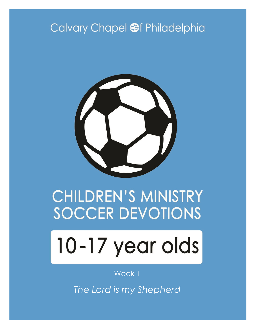# Calvary Chapel @f Philadelphia



# CHILDREN'S MINISTRY SOCCER DEVOTIONS

# 10-17 year olds

#### Week 1

*The Lord is my Shepherd*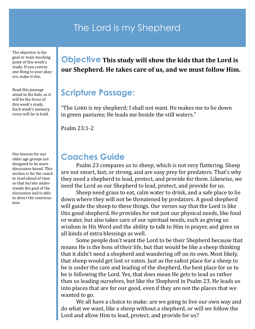#### The Lord is my Shepherd

The objective is the goal or main teaching point of this week's study. If you convey one thing to your players, make it this.

Read this passage aloud to the kids, as it will be the focus of this week's study. Each week's memory verse will be in bold.

Our lessons for our older age groups are designed to be more discussion-based. This section is for the coach to read ahead of time so that he/she understands the goal of the discussion and is able to direct the conversation.

#### **Objective This study will show the kids that the Lord is our Shepherd. He takes care of us, and we must follow Him.**

#### **Scripture Passage:**

"The LORD is my shepherd; I shall not want. He makes me to lie down in green pastures; He leads me beside the still waters."

Psalm 23:1-2

#### **Coaches Guide**

Psalm 23 compares us to sheep, which is not very flattering. Sheep are not smart, fast, or strong, and are easy prey for predators. That's why they need a shepherd to lead, protect, and provide for them. Likewise, we need the Lord as our Shepherd to lead, protect, and provide for us.

Sheep need grass to eat, calm water to drink, and a safe place to lie down where they will not be threatened by predators. A good shepherd will guide the sheep to these things. Our verses say that the Lord is like this good shepherd. He provides for not just our physical needs, like food or water, but also takes care of our spiritual needs, such as giving us wisdom in His Word and the ability to talk to Him in prayer, and gives us all kinds of extra blessings as well.

Some people don't want the Lord to be their Shepherd because that means He is the boss of their life, but that would be like a sheep thinking that it didn't need a shepherd and wandering off on its own. Most likely, that sheep would get lost or eaten. Just as the safest place for a sheep to be is under the care and leading of the shepherd, the best place for us to be is following the Lord. Yes, that does mean He gets to lead us rather than us leading ourselves, but like the Shepherd in Psalm 23, He leads us into places that are for our good, even if they are not the places that we wanted to go.

We all have a choice to make: are we going to live our own way and do what we want, like a sheep without a shepherd, or will we follow the Lord and allow Him to lead, protect, and provide for us?